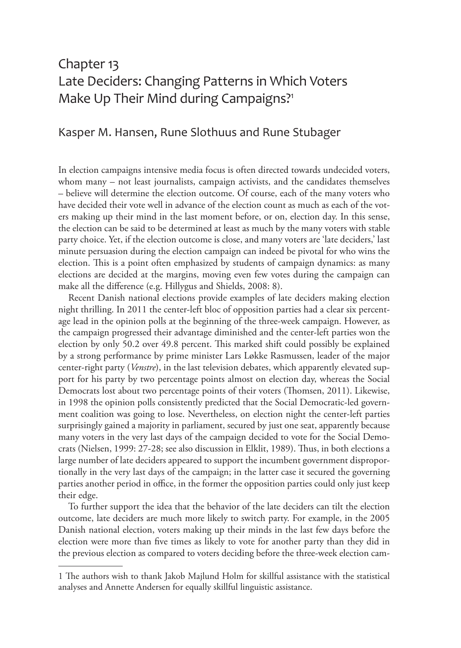# Chapter 13 Late Deciders: Changing Patterns in Which Voters Make Up Their Mind during Campaigns?<sup>1</sup>

## Kasper M. Hansen, Rune Slothuus and Rune Stubager

In election campaigns intensive media focus is often directed towards undecided voters, whom many – not least journalists, campaign activists, and the candidates themselves – believe will determine the election outcome. Of course, each of the many voters who have decided their vote well in advance of the election count as much as each of the voters making up their mind in the last moment before, or on, election day. In this sense, the election can be said to be determined at least as much by the many voters with stable party choice. Yet, if the election outcome is close, and many voters are 'late deciders,' last minute persuasion during the election campaign can indeed be pivotal for who wins the election. This is a point often emphasized by students of campaign dynamics: as many elections are decided at the margins, moving even few votes during the campaign can make all the difference (e.g. Hillygus and Shields, 2008: 8).

Recent Danish national elections provide examples of late deciders making election night thrilling. In 2011 the center-left bloc of opposition parties had a clear six percentage lead in the opinion polls at the beginning of the three-week campaign. However, as the campaign progressed their advantage diminished and the center-left parties won the election by only 50.2 over 49.8 percent. This marked shift could possibly be explained by a strong performance by prime minister Lars Løkke Rasmussen, leader of the major center-right party (*Venstre*), in the last television debates, which apparently elevated support for his party by two percentage points almost on election day, whereas the Social Democrats lost about two percentage points of their voters (Thomsen, 2011). Likewise, in 1998 the opinion polls consistently predicted that the Social Democratic-led government coalition was going to lose. Nevertheless, on election night the center-left parties surprisingly gained a majority in parliament, secured by just one seat, apparently because many voters in the very last days of the campaign decided to vote for the Social Democrats (Nielsen, 1999: 27-28; see also discussion in Elklit, 1989). Thus, in both elections a large number of late deciders appeared to support the incumbent government disproportionally in the very last days of the campaign; in the latter case it secured the governing parties another period in office, in the former the opposition parties could only just keep their edge.

To further support the idea that the behavior of the late deciders can tilt the election outcome, late deciders are much more likely to switch party. For example, in the 2005 Danish national election, voters making up their minds in the last few days before the election were more than five times as likely to vote for another party than they did in the previous election as compared to voters deciding before the three-week election cam-

<sup>1</sup> The authors wish to thank Jakob Majlund Holm for skillful assistance with the statistical analyses and Annette Andersen for equally skillful linguistic assistance.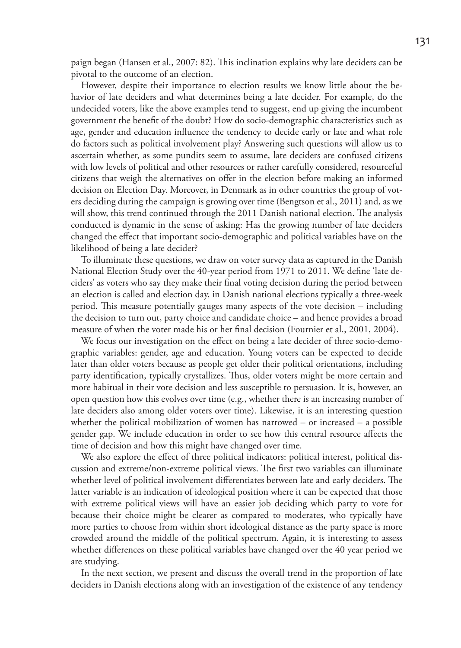paign began (Hansen et al., 2007: 82). This inclination explains why late deciders can be pivotal to the outcome of an election.

However, despite their importance to election results we know little about the behavior of late deciders and what determines being a late decider. For example, do the undecided voters, like the above examples tend to suggest, end up giving the incumbent government the benefit of the doubt? How do socio-demographic characteristics such as age, gender and education influence the tendency to decide early or late and what role do factors such as political involvement play? Answering such questions will allow us to ascertain whether, as some pundits seem to assume, late deciders are confused citizens with low levels of political and other resources or rather carefully considered, resourceful citizens that weigh the alternatives on offer in the election before making an informed decision on Election Day. Moreover, in Denmark as in other countries the group of voters deciding during the campaign is growing over time (Bengtson et al., 2011) and, as we will show, this trend continued through the 2011 Danish national election. The analysis conducted is dynamic in the sense of asking: Has the growing number of late deciders changed the effect that important socio-demographic and political variables have on the likelihood of being a late decider?

To illuminate these questions, we draw on voter survey data as captured in the Danish National Election Study over the 40-year period from 1971 to 2011. We define 'late deciders' as voters who say they make their final voting decision during the period between an election is called and election day, in Danish national elections typically a three-week period. This measure potentially gauges many aspects of the vote decision – including the decision to turn out, party choice and candidate choice – and hence provides a broad measure of when the voter made his or her final decision (Fournier et al., 2001, 2004).

We focus our investigation on the effect on being a late decider of three socio-demographic variables: gender, age and education. Young voters can be expected to decide later than older voters because as people get older their political orientations, including party identification, typically crystallizes. Thus, older voters might be more certain and more habitual in their vote decision and less susceptible to persuasion. It is, however, an open question how this evolves over time (e.g., whether there is an increasing number of late deciders also among older voters over time). Likewise, it is an interesting question whether the political mobilization of women has narrowed – or increased – a possible gender gap. We include education in order to see how this central resource affects the time of decision and how this might have changed over time.

We also explore the effect of three political indicators: political interest, political discussion and extreme/non-extreme political views. The first two variables can illuminate whether level of political involvement differentiates between late and early deciders. The latter variable is an indication of ideological position where it can be expected that those with extreme political views will have an easier job deciding which party to vote for because their choice might be clearer as compared to moderates, who typically have more parties to choose from within short ideological distance as the party space is more crowded around the middle of the political spectrum. Again, it is interesting to assess whether differences on these political variables have changed over the 40 year period we are studying.

In the next section, we present and discuss the overall trend in the proportion of late deciders in Danish elections along with an investigation of the existence of any tendency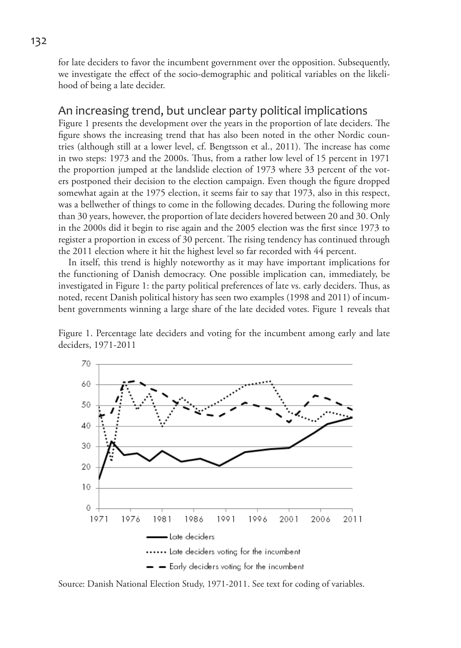for late deciders to favor the incumbent government over the opposition. Subsequently, we investigate the effect of the socio-demographic and political variables on the likelihood of being a late decider.

## An increasing trend, but unclear party political implications

Figure 1 presents the development over the years in the proportion of late deciders. The figure shows the increasing trend that has also been noted in the other Nordic countries (although still at a lower level, cf. Bengtsson et al., 2011). The increase has come in two steps: 1973 and the 2000s. Thus, from a rather low level of 15 percent in 1971 the proportion jumped at the landslide election of 1973 where 33 percent of the voters postponed their decision to the election campaign. Even though the figure dropped somewhat again at the 1975 election, it seems fair to say that 1973, also in this respect, was a bellwether of things to come in the following decades. During the following more than 30 years, however, the proportion of late deciders hovered between 20 and 30. Only in the 2000s did it begin to rise again and the 2005 election was the first since 1973 to register a proportion in excess of 30 percent. The rising tendency has continued through the 2011 election where it hit the highest level so far recorded with 44 percent.

In itself, this trend is highly noteworthy as it may have important implications for the functioning of Danish democracy. One possible implication can, immediately, be investigated in Figure 1: the party political preferences of late vs. early deciders. Thus, as noted, recent Danish political history has seen two examples (1998 and 2011) of incumbent governments winning a large share of the late decided votes. Figure 1 reveals that

Figure 1. Percentage late deciders and voting for the incumbent among early and late deciders, 1971-2011



Source: Danish National Election Study, 1971-2011. See text for coding of variables.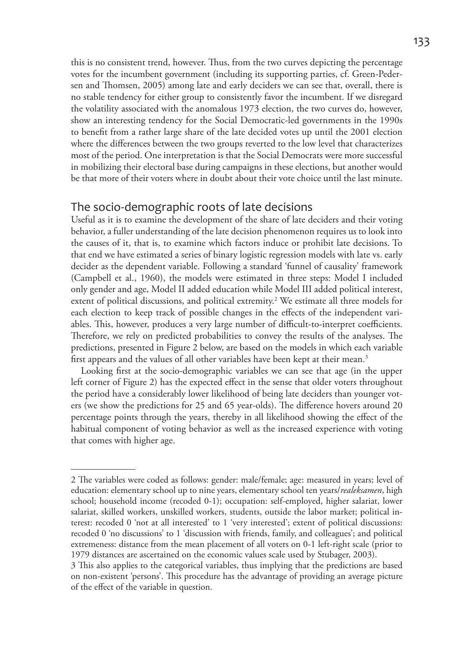this is no consistent trend, however. Thus, from the two curves depicting the percentage votes for the incumbent government (including its supporting parties, cf. Green-Pedersen and Thomsen, 2005) among late and early deciders we can see that, overall, there is no stable tendency for either group to consistently favor the incumbent. If we disregard the volatility associated with the anomalous 1973 election, the two curves do, however, show an interesting tendency for the Social Democratic-led governments in the 1990s to benefit from a rather large share of the late decided votes up until the 2001 election where the differences between the two groups reverted to the low level that characterizes most of the period. One interpretation is that the Social Democrats were more successful in mobilizing their electoral base during campaigns in these elections, but another would be that more of their voters where in doubt about their vote choice until the last minute.

### The socio-demographic roots of late decisions

Useful as it is to examine the development of the share of late deciders and their voting behavior, a fuller understanding of the late decision phenomenon requires us to look into the causes of it, that is, to examine which factors induce or prohibit late decisions. To that end we have estimated a series of binary logistic regression models with late vs. early decider as the dependent variable. Following a standard 'funnel of causality' framework (Campbell et al., 1960), the models were estimated in three steps: Model I included only gender and age, Model II added education while Model III added political interest, extent of political discussions, and political extremity.2 We estimate all three models for each election to keep track of possible changes in the effects of the independent variables. This, however, produces a very large number of difficult-to-interpret coefficients. Therefore, we rely on predicted probabilities to convey the results of the analyses. The predictions, presented in Figure 2 below, are based on the models in which each variable first appears and the values of all other variables have been kept at their mean.<sup>3</sup>

Looking first at the socio-demographic variables we can see that age (in the upper left corner of Figure 2) has the expected effect in the sense that older voters throughout the period have a considerably lower likelihood of being late deciders than younger voters (we show the predictions for 25 and 65 year-olds). The difference hovers around 20 percentage points through the years, thereby in all likelihood showing the effect of the habitual component of voting behavior as well as the increased experience with voting that comes with higher age.

<sup>2</sup> The variables were coded as follows: gender: male/female; age: measured in years; level of education: elementary school up to nine years, elementary school ten years/*realeksamen*, high school; household income (recoded 0-1); occupation: self-employed, higher salariat, lower salariat, skilled workers, unskilled workers, students, outside the labor market; political interest: recoded 0 'not at all interested' to 1 'very interested'; extent of political discussions: recoded 0 'no discussions' to 1 'discussion with friends, family, and colleagues'; and political extremeness: distance from the mean placement of all voters on 0-1 left-right scale (prior to 1979 distances are ascertained on the economic values scale used by Stubager, 2003).

<sup>3</sup> This also applies to the categorical variables, thus implying that the predictions are based on non-existent 'persons'. This procedure has the advantage of providing an average picture of the effect of the variable in question.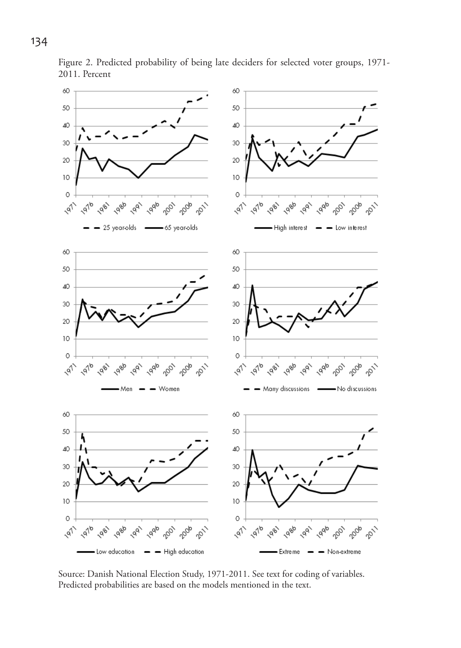

Figure 2. Predicted probability of being late deciders for selected voter groups, 1971- 2011. Percent

Source: Danish National Election Study, 1971-2011. See text for coding of variables. Predicted probabilities are based on the models mentioned in the text.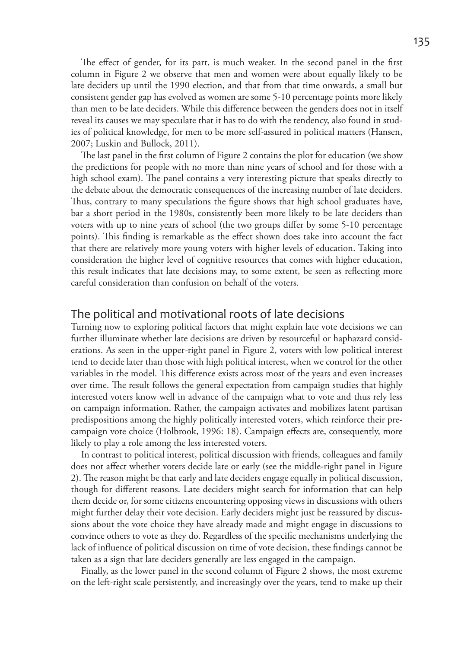The effect of gender, for its part, is much weaker. In the second panel in the first column in Figure 2 we observe that men and women were about equally likely to be late deciders up until the 1990 election, and that from that time onwards, a small but consistent gender gap has evolved as women are some 5-10 percentage points more likely than men to be late deciders. While this difference between the genders does not in itself reveal its causes we may speculate that it has to do with the tendency, also found in studies of political knowledge, for men to be more self-assured in political matters (Hansen, 2007; Luskin and Bullock, 2011).

The last panel in the first column of Figure 2 contains the plot for education (we show the predictions for people with no more than nine years of school and for those with a high school exam). The panel contains a very interesting picture that speaks directly to the debate about the democratic consequences of the increasing number of late deciders. Thus, contrary to many speculations the figure shows that high school graduates have, bar a short period in the 1980s, consistently been more likely to be late deciders than voters with up to nine years of school (the two groups differ by some 5-10 percentage points). This finding is remarkable as the effect shown does take into account the fact that there are relatively more young voters with higher levels of education. Taking into consideration the higher level of cognitive resources that comes with higher education, this result indicates that late decisions may, to some extent, be seen as reflecting more careful consideration than confusion on behalf of the voters.

# The political and motivational roots of late decisions

Turning now to exploring political factors that might explain late vote decisions we can further illuminate whether late decisions are driven by resourceful or haphazard considerations. As seen in the upper-right panel in Figure 2, voters with low political interest tend to decide later than those with high political interest, when we control for the other variables in the model. This difference exists across most of the years and even increases over time. The result follows the general expectation from campaign studies that highly interested voters know well in advance of the campaign what to vote and thus rely less on campaign information. Rather, the campaign activates and mobilizes latent partisan predispositions among the highly politically interested voters, which reinforce their precampaign vote choice (Holbrook, 1996: 18). Campaign effects are, consequently, more likely to play a role among the less interested voters.

In contrast to political interest, political discussion with friends, colleagues and family does not affect whether voters decide late or early (see the middle-right panel in Figure 2). The reason might be that early and late deciders engage equally in political discussion, though for different reasons. Late deciders might search for information that can help them decide or, for some citizens encountering opposing views in discussions with others might further delay their vote decision. Early deciders might just be reassured by discussions about the vote choice they have already made and might engage in discussions to convince others to vote as they do. Regardless of the specific mechanisms underlying the lack of influence of political discussion on time of vote decision, these findings cannot be taken as a sign that late deciders generally are less engaged in the campaign.

Finally, as the lower panel in the second column of Figure 2 shows, the most extreme on the left-right scale persistently, and increasingly over the years, tend to make up their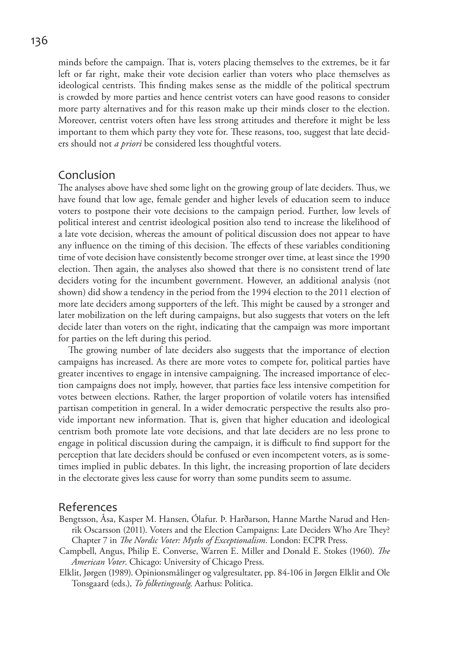minds before the campaign. That is, voters placing themselves to the extremes, be it far left or far right, make their vote decision earlier than voters who place themselves as ideological centrists. This finding makes sense as the middle of the political spectrum is crowded by more parties and hence centrist voters can have good reasons to consider more party alternatives and for this reason make up their minds closer to the election. Moreover, centrist voters often have less strong attitudes and therefore it might be less important to them which party they vote for. These reasons, too, suggest that late deciders should not *a priori* be considered less thoughtful voters.

#### Conclusion

The analyses above have shed some light on the growing group of late deciders. Thus, we have found that low age, female gender and higher levels of education seem to induce voters to postpone their vote decisions to the campaign period. Further, low levels of political interest and centrist ideological position also tend to increase the likelihood of a late vote decision, whereas the amount of political discussion does not appear to have any influence on the timing of this decision. The effects of these variables conditioning time of vote decision have consistently become stronger over time, at least since the 1990 election. Then again, the analyses also showed that there is no consistent trend of late deciders voting for the incumbent government. However, an additional analysis (not shown) did show a tendency in the period from the 1994 election to the 2011 election of more late deciders among supporters of the left. This might be caused by a stronger and later mobilization on the left during campaigns, but also suggests that voters on the left decide later than voters on the right, indicating that the campaign was more important for parties on the left during this period.

The growing number of late deciders also suggests that the importance of election campaigns has increased. As there are more votes to compete for, political parties have greater incentives to engage in intensive campaigning. The increased importance of election campaigns does not imply, however, that parties face less intensive competition for votes between elections. Rather, the larger proportion of volatile voters has intensified partisan competition in general. In a wider democratic perspective the results also provide important new information. That is, given that higher education and ideological centrism both promote late vote decisions, and that late deciders are no less prone to engage in political discussion during the campaign, it is difficult to find support for the perception that late deciders should be confused or even incompetent voters, as is sometimes implied in public debates. In this light, the increasing proportion of late deciders in the electorate gives less cause for worry than some pundits seem to assume.

#### References

- Bengtsson, Åsa, Kasper M. Hansen, Ólafur. Þ. Harðarson, Hanne Marthe Narud and Henrik Oscarsson (2011). Voters and the Election Campaigns: Late Deciders Who Are They? Chapter 7 in *The Nordic Voter: Myths of Exceptionalism.* London: ECPR Press.
- Campbell, Angus, Philip E. Converse, Warren E. Miller and Donald E. Stokes (1960). *The American Voter*. Chicago: University of Chicago Press.
- Elklit, Jørgen (1989). Opinionsmålinger og valgresultater, pp. 84-106 in Jørgen Elklit and Ole Tonsgaard (eds.), *To folketingsvalg*. Aarhus: Politica.